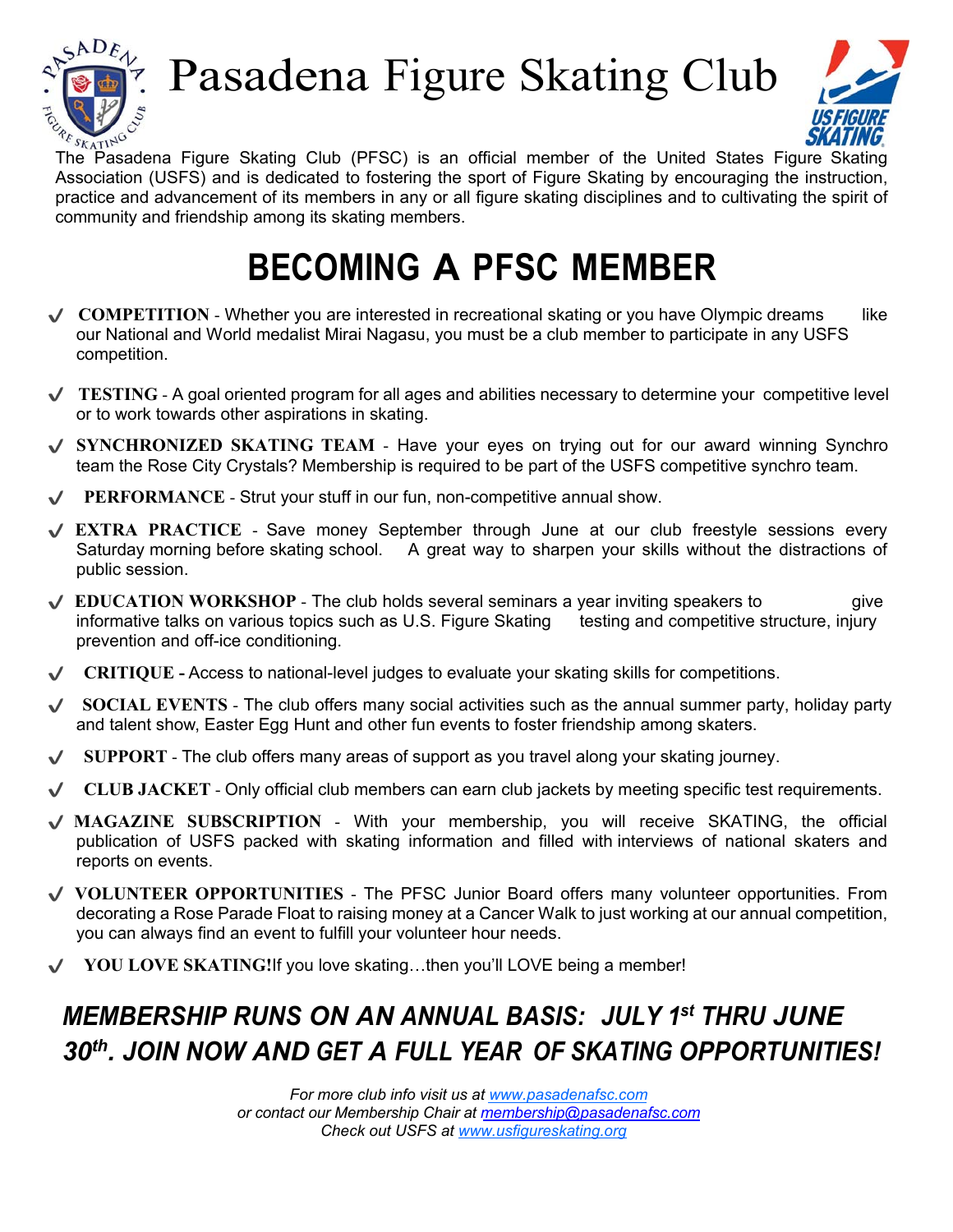

# Pasadena Figure Skating Club



 $\frac{\partial \phi_{\mathcal{S}_{KATI}N}^{*}}{\partial \phi_{\mathcal{S}_{KATI}N}}$  **SKAIING**<br>The Pasadena Figure Skating Club (PFSC) is an official member of the United States Figure Skating Association (USFS) and is dedicated to fostering the sport of Figure Skating by encouraging the instruction, practice and advancement of its members in any or all figure skating disciplines and to cultivating the spirit of community and friendship among its skating members.

## **BECOMING A PFSC MEMBER**

- ◆ COMPETITION Whether you are interested in recreational skating or you have Olympic dreams like our National and World medalist Mirai Nagasu, you must be a club member to participate in any USFS competition.
- $\vee$  **TESTING** A goal oriented program for all ages and abilities necessary to determine your competitive level or to work towards other aspirations in skating.
- **SYNCHRONIZED SKATING TEAM** Have your eyes on trying out for our award winning Synchro team the Rose City Crystals? Membership is required to be part of the USFS competitive synchro team.
- **PERFORMANCE** Strut your stuff in our fun, non-competitive annual show.
- **EXTRA PRACTICE** Save money September through June at our club freestyle sessions every Saturday morning before skating school. A great way to sharpen your skills without the distractions of public session.
- $\sqrt{\phantom{a}}$  **EDUCATION WORKSHOP** The club holds several seminars a year inviting speakers to give informative talks on various topics such as U.S. Figure Skating testing and competitive structure, injury prevention and off-ice conditioning.
- **CRITIQUE -** Access to national-level judges to evaluate your skating skills for competitions.
- ◆ **SOCIAL EVENTS** The club offers many social activities such as the annual summer party, holiday party and talent show, Easter Egg Hunt and other fun events to foster friendship among skaters.
- **SUPPORT** The club offers many areas of support as you travel along your skating journey.
- **CLUB JACKET** Only official club members can earn club jackets by meeting specific test requirements.
- **MAGAZINE SUBSCRIPTION** With your membership, you will receive SKATING, the official publication of USFS packed with skating information and filled with interviews of national skaters and reports on events.
- **VOLUNTEER OPPORTUNITIES** The PFSC Junior Board offers many volunteer opportunities. From decorating a Rose Parade Float to raising money at a Cancer Walk to just working at our annual competition, you can always find an event to fulfill your volunteer hour needs.
- **YOU LOVE SKATING!**If you love skating…then you'll LOVE being a member!

## *MEMBERSHIP RUNS ON AN ANNUAL BASIS: JULY 1st THRU JUNE 30th . JOIN NOW AND GET A FULL YEAR OF SKATING OPPORTUNITIES!*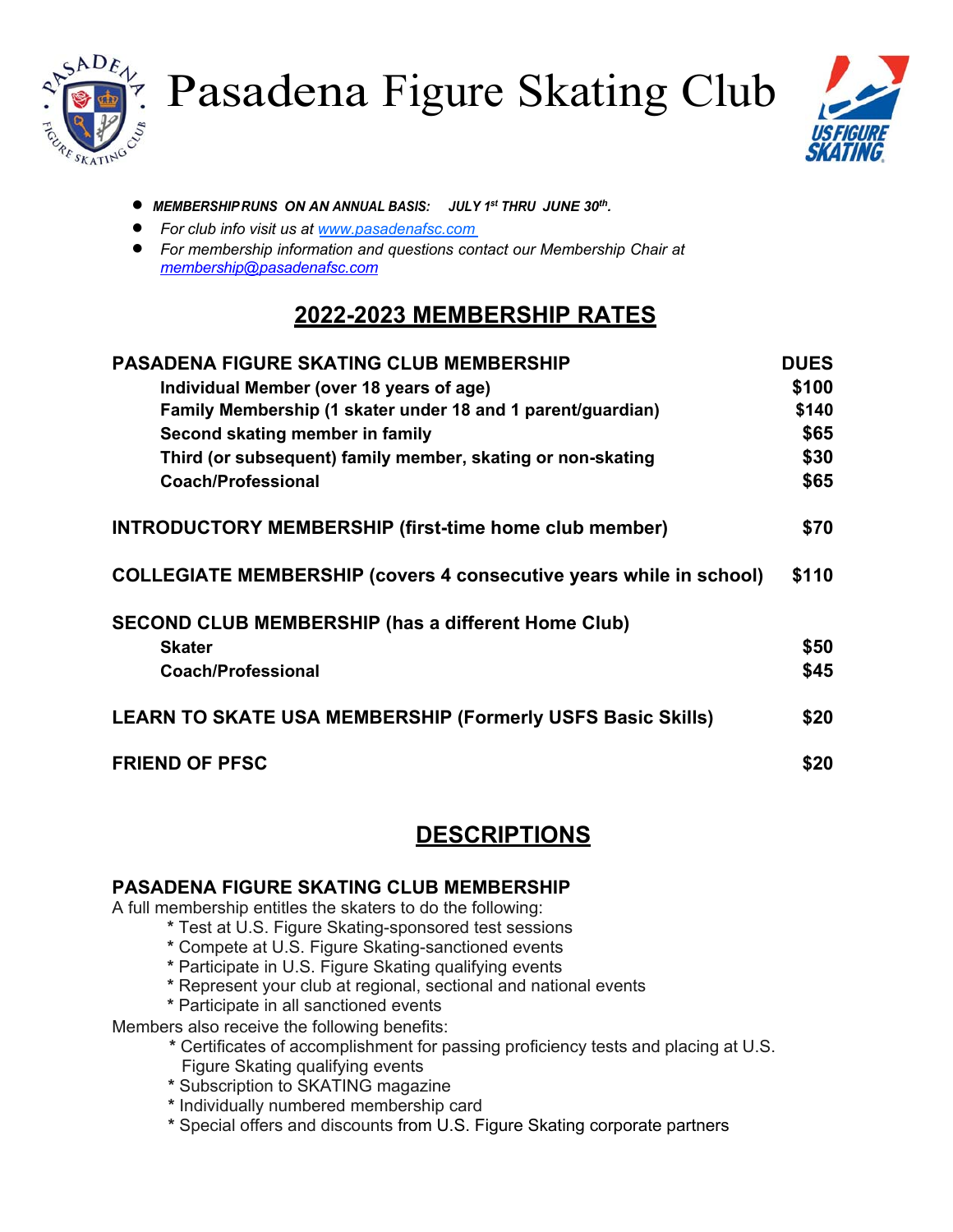



- *MEMBERSHIPRUNS ON AN ANNUAL BASIS: JULY 1st THRU JUNE 30th .*
- *For club info visit us at www.pasadenafsc.com*
- *For membership information and questions contact our Membership Chair at membership@pasadenafsc.com*

### **2022-2023 MEMBERSHIP RATES**

| <b>PASADENA FIGURE SKATING CLUB MEMBERSHIP</b>                            | <b>DUES</b> |
|---------------------------------------------------------------------------|-------------|
| Individual Member (over 18 years of age)                                  | \$100       |
| Family Membership (1 skater under 18 and 1 parent/guardian)               | \$140       |
| Second skating member in family                                           | \$65        |
| Third (or subsequent) family member, skating or non-skating               | \$30        |
| <b>Coach/Professional</b>                                                 | \$65        |
| <b>INTRODUCTORY MEMBERSHIP (first-time home club member)</b>              | \$70        |
| <b>COLLEGIATE MEMBERSHIP (covers 4 consecutive years while in school)</b> | \$110       |
| <b>SECOND CLUB MEMBERSHIP (has a different Home Club)</b>                 |             |
| <b>Skater</b>                                                             | \$50        |
| <b>Coach/Professional</b>                                                 | \$45        |
| <b>LEARN TO SKATE USA MEMBERSHIP (Formerly USFS Basic Skills)</b>         | \$20        |
| <b>FRIEND OF PFSC</b>                                                     | \$20        |

#### **DESCRIPTIONS**

#### **PASADENA FIGURE SKATING CLUB MEMBERSHIP**

A full membership entitles the skaters to do the following:

- **\*** Test at U.S. Figure Skating-sponsored test sessions
- **\*** Compete at U.S. Figure Skating-sanctioned events
- **\*** Participate in U.S. Figure Skating qualifying events
- **\*** Represent your club at regional, sectional and national events
- **\*** Participate in all sanctioned events

Members also receive the following benefits:

- **\*** Certificates of accomplishment for passing proficiency tests and placing at U.S. Figure Skating qualifying events
- **\*** Subscription to SKATING magazine
- **\*** Individually numbered membership card
- **\*** Special offers and discounts from U.S. Figure Skating corporate partners